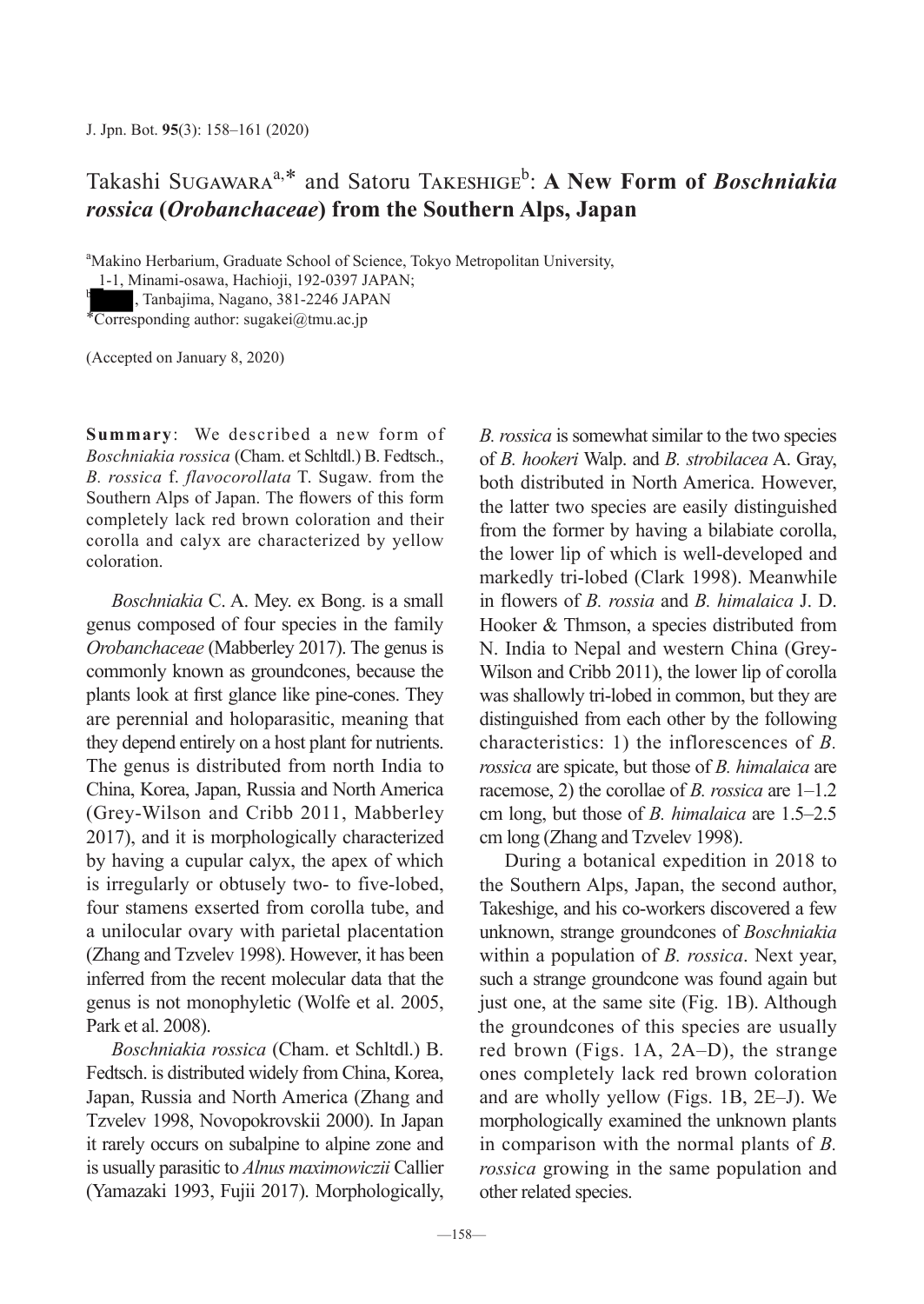## Takashi Sugawara<sup>a,\*</sup> and Satoru Takeshige<sup>b</sup>: A New Form of *Boschniakia rossica* **(***Orobanchaceae***) from the Southern Alps, Japan**

<sup>a</sup>Makino Herbarium, Graduate School of Science, Tokyo Metropolitan University,

1-1, Minami-osawa, Hachioji, 192-0397 JAPAN;

<sup>b</sup> , Tanbajima, Nagano, 381-2246 JAPAN

 $*Corresponding author: sugakei@tmu.ac.jp$ 

(Accepted on January 8, 2020)

**Summary**: We described a new form of *Boschniakia rossica* (Cham. et Schltdl.) B. Fedtsch., *B. rossica* f. *flavocorollata* T. Sugaw. from the Southern Alps of Japan. The flowers of this form completely lack red brown coloration and their corolla and calyx are characterized by yellow coloration.

*Boschniakia* C. A. Mey. ex Bong. is a small genus composed of four species in the family *Orobanchaceae* (Mabberley 2017). The genus is commonly known as groundcones, because the plants look at first glance like pine-cones. They are perennial and holoparasitic, meaning that they depend entirely on a host plant for nutrients. The genus is distributed from north India to China, Korea, Japan, Russia and North America (Grey-Wilson and Cribb 2011, Mabberley 2017), and it is morphologically characterized by having a cupular calyx, the apex of which is irregularly or obtusely two- to five-lobed, four stamens exserted from corolla tube, and a unilocular ovary with parietal placentation (Zhang and Tzvelev 1998). However, it has been inferred from the recent molecular data that the genus is not monophyletic (Wolfe et al. 2005, Park et al. 2008).

*Boschniakia rossica* (Cham. et Schltdl.) B. Fedtsch. is distributed widely from China, Korea, Japan, Russia and North America (Zhang and Tzvelev 1998, Novopokrovskii 2000). In Japan it rarely occurs on subalpine to alpine zone and is usually parasitic to *Alnus maximowiczii* Callier (Yamazaki 1993, Fujii 2017). Morphologically, *B. rossica* is somewhat similar to the two species of *B. hookeri* Walp. and *B. strobilacea* A. Gray, both distributed in North America. However, the latter two species are easily distinguished from the former by having a bilabiate corolla, the lower lip of which is well-developed and markedly tri-lobed (Clark 1998). Meanwhile in flowers of *B. rossia* and *B. himalaica* J. D. Hooker & Thmson, a species distributed from N. India to Nepal and western China (Grey-Wilson and Cribb 2011), the lower lip of corolla was shallowly tri-lobed in common, but they are distinguished from each other by the following characteristics: 1) the inflorescences of *B. rossica* are spicate, but those of *B. himalaica* are racemose, 2) the corollae of *B. rossica* are 1–1.2 cm long, but those of *B. himalaica* are 1.5–2.5 cm long (Zhang and Tzvelev 1998).

During a botanical expedition in 2018 to the Southern Alps, Japan, the second author, Takeshige, and his co-workers discovered a few unknown, strange groundcones of *Boschniakia* within a population of *B. rossica*. Next year, such a strange groundcone was found again but just one, at the same site (Fig. 1B). Although the groundcones of this species are usually red brown (Figs. 1A, 2A–D), the strange ones completely lack red brown coloration and are wholly yellow (Figs. 1B, 2E–J). We morphologically examined the unknown plants in comparison with the normal plants of *B. rossica* growing in the same population and other related species.